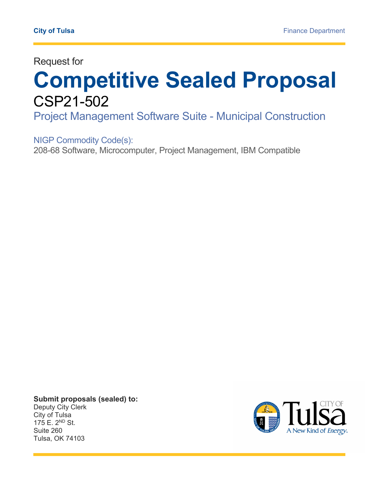Request for

# **Competitive Sealed Proposal**  CSP21-502

Project Management Software Suite - Municipal Construction

NIGP Commodity Code(s):

208-68 Software, Microcomputer, Project Management, IBM Compatible

**Submit proposals (sealed) to:**  Deputy City Clerk City of Tulsa 175 E. 2ND St. Suite 260 Tulsa, OK 74103

L

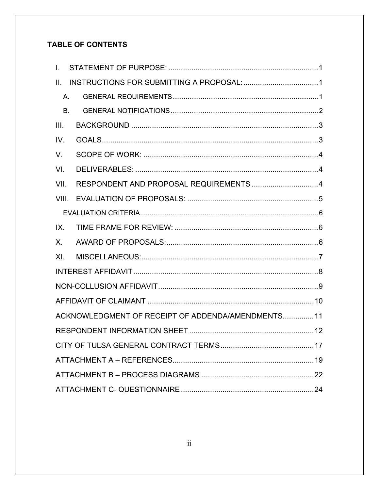### **TABLE OF CONTENTS**

| $\mathbf{L}$ |                                                   |  |
|--------------|---------------------------------------------------|--|
| II.          |                                                   |  |
| Α.           |                                                   |  |
| <b>B.</b>    |                                                   |  |
| III.         |                                                   |  |
| IV.          |                                                   |  |
| V.           |                                                   |  |
| VI.          |                                                   |  |
| VII.         | RESPONDENT AND PROPOSAL REQUIREMENTS 4            |  |
| VIII.        |                                                   |  |
|              |                                                   |  |
| IX.          |                                                   |  |
| $X_{-}$      |                                                   |  |
| XI.          |                                                   |  |
|              |                                                   |  |
|              |                                                   |  |
|              |                                                   |  |
|              | ACKNOWLEDGMENT OF RECEIPT OF ADDENDA/AMENDMENTS11 |  |
|              |                                                   |  |
|              |                                                   |  |
|              |                                                   |  |
|              |                                                   |  |
|              |                                                   |  |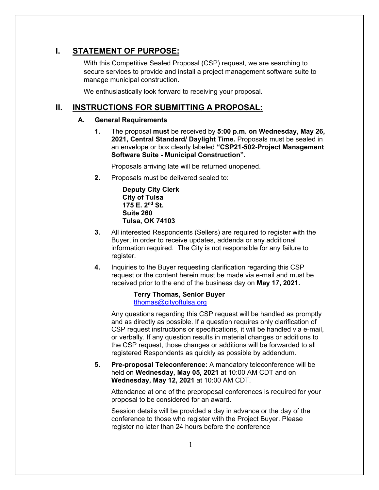### **I. STATEMENT OF PURPOSE:**

With this Competitive Sealed Proposal (CSP) request, we are searching to secure services to provide and install a project management software suite to manage municipal construction.

We enthusiastically look forward to receiving your proposal.

### **II. INSTRUCTIONS FOR SUBMITTING A PROPOSAL:**

#### **A. General Requirements**

**1.** The proposal **must** be received by **5:00 p.m. on Wednesday, May 26, 2021, Central Standard/ Daylight Time.** Proposals must be sealed in an envelope or box clearly labeled **"CSP21-502-Project Management Software Suite - Municipal Construction".**

Proposals arriving late will be returned unopened.

**2.** Proposals must be delivered sealed to:

**Deputy City Clerk City of Tulsa 175 E. 2nd St. Suite 260 Tulsa, OK 74103** 

- **3.** All interested Respondents (Sellers) are required to register with the Buyer, in order to receive updates, addenda or any additional information required. The City is not responsible for any failure to register.
- **4.** Inquiries to the Buyer requesting clarification regarding this CSP request or the content herein must be made via e-mail and must be received prior to the end of the business day on **May 17, 2021.**

#### **Terry Thomas, Senior Buyer**  tthomas@cityoftulsa.org

Any questions regarding this CSP request will be handled as promptly and as directly as possible. If a question requires only clarification of CSP request instructions or specifications, it will be handled via e-mail, or verbally. If any question results in material changes or additions to the CSP request, those changes or additions will be forwarded to all registered Respondents as quickly as possible by addendum.

**5. Pre-proposal Teleconference:** A mandatory teleconference will be held on **Wednesday, May 05, 2021** at 10:00 AM CDT and on **Wednesday, May 12, 2021** at 10:00 AM CDT.

Attendance at one of the preproposal conferences is required for your proposal to be considered for an award.

Session details will be provided a day in advance or the day of the conference to those who register with the Project Buyer. Please register no later than 24 hours before the conference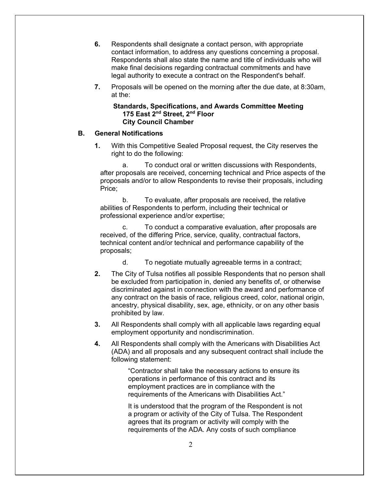- **6.** Respondents shall designate a contact person, with appropriate contact information, to address any questions concerning a proposal. Respondents shall also state the name and title of individuals who will make final decisions regarding contractual commitments and have legal authority to execute a contract on the Respondent's behalf.
- **7.** Proposals will be opened on the morning after the due date, at 8:30am, at the:

**Standards, Specifications, and Awards Committee Meeting 175 East 2nd Street, 2nd Floor City Council Chamber**

#### **B. General Notifications**

**1.** With this Competitive Sealed Proposal request, the City reserves the right to do the following:

a. To conduct oral or written discussions with Respondents, after proposals are received, concerning technical and Price aspects of the proposals and/or to allow Respondents to revise their proposals, including Price;

b. To evaluate, after proposals are received, the relative abilities of Respondents to perform, including their technical or professional experience and/or expertise;

c. To conduct a comparative evaluation, after proposals are received, of the differing Price, service, quality, contractual factors, technical content and/or technical and performance capability of the proposals;

- d. To negotiate mutually agreeable terms in a contract;
- **2.** The City of Tulsa notifies all possible Respondents that no person shall be excluded from participation in, denied any benefits of, or otherwise discriminated against in connection with the award and performance of any contract on the basis of race, religious creed, color, national origin, ancestry, physical disability, sex, age, ethnicity, or on any other basis prohibited by law.
- **3.** All Respondents shall comply with all applicable laws regarding equal employment opportunity and nondiscrimination.
- **4.** All Respondents shall comply with the Americans with Disabilities Act (ADA) and all proposals and any subsequent contract shall include the following statement:

"Contractor shall take the necessary actions to ensure its operations in performance of this contract and its employment practices are in compliance with the requirements of the Americans with Disabilities Act."

It is understood that the program of the Respondent is not a program or activity of the City of Tulsa. The Respondent agrees that its program or activity will comply with the requirements of the ADA. Any costs of such compliance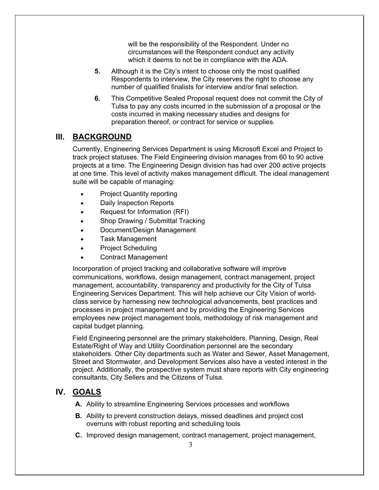will be the responsibility of the Respondent. Under no circumstances will the Respondent conduct any activity which it deems to not be in compliance with the ADA.

- **5.** Although it is the City's intent to choose only the most qualified Respondents to interview, the City reserves the right to choose any number of qualified finalists for interview and/or final selection.
- **6.** This Competitive Sealed Proposal request does not commit the City of Tulsa to pay any costs incurred in the submission of a proposal or the costs incurred in making necessary studies and designs for preparation thereof, or contract for service or supplies.

### **III. BACKGROUND**

Currently, Engineering Services Department is using Microsoft Excel and Project to track project statuses. The Field Engineering division manages from 60 to 90 active projects at a time. The Engineering Design division has had over 200 active projects at one time. This level of activity makes management difficult. The ideal management suite will be capable of managing:

- Project Quantity reporting
- Daily Inspection Reports
- Request for Information (RFI)
- Shop Drawing / Submittal Tracking
- Document/Design Management
- Task Management
- Project Scheduling
- Contract Management

Incorporation of project tracking and collaborative software will improve communications, workflows, design management, contract management, project management, accountability, transparency and productivity for the City of Tulsa Engineering Services Department. This will help achieve our City Vision of worldclass service by harnessing new technological advancements, best practices and processes in project management and by providing the Engineering Services employees new project management tools, methodology of risk management and capital budget planning.

Field Engineering personnel are the primary stakeholders. Planning, Design, Real Estate/Right of Way and Utility Coordination personnel are the secondary stakeholders. Other City departments such as Water and Sewer, Asset Management, Street and Stormwater, and Development Services also have a vested interest in the project. Additionally, the prospective system must share reports with City engineering consultants, City Sellers and the Citizens of Tulsa.

### **IV. GOALS**

- **A.** Ability to streamline Engineering Services processes and workflows
- **B.** Ability to prevent construction delays, missed deadlines and project cost overruns with robust reporting and scheduling tools
- **C.** Improved design management, contract management, project management,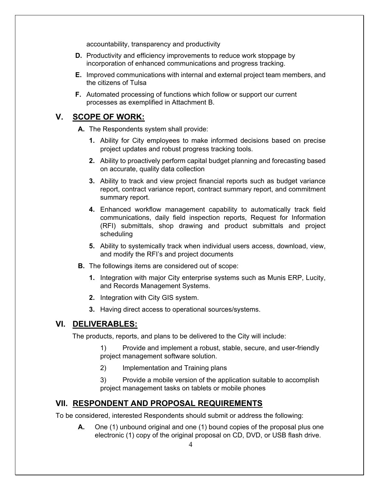accountability, transparency and productivity

- **D.** Productivity and efficiency improvements to reduce work stoppage by incorporation of enhanced communications and progress tracking.
- **E.** Improved communications with internal and external project team members, and the citizens of Tulsa
- **F.** Automated processing of functions which follow or support our current processes as exemplified in Attachment B.

### **V. SCOPE OF WORK:**

**A.** The Respondents system shall provide:

- **1.** Ability for City employees to make informed decisions based on precise project updates and robust progress tracking tools.
- **2.** Ability to proactively perform capital budget planning and forecasting based on accurate, quality data collection
- **3.** Ability to track and view project financial reports such as budget variance report, contract variance report, contract summary report, and commitment summary report.
- **4.** Enhanced workflow management capability to automatically track field communications, daily field inspection reports, Request for Information (RFI) submittals, shop drawing and product submittals and project scheduling
- **5.** Ability to systemically track when individual users access, download, view, and modify the RFI's and project documents
- **B.** The followings items are considered out of scope:
	- **1.** Integration with major City enterprise systems such as Munis ERP, Lucity, and Records Management Systems.
	- **2.** Integration with City GIS system.
	- **3.** Having direct access to operational sources/systems.

### **VI. DELIVERABLES:**

The products, reports, and plans to be delivered to the City will include:

1) Provide and implement a robust, stable, secure, and user-friendly project management software solution.

2) Implementation and Training plans

3) Provide a mobile version of the application suitable to accomplish project management tasks on tablets or mobile phones

#### **VII. RESPONDENT AND PROPOSAL REQUIREMENTS**

To be considered, interested Respondents should submit or address the following:

**A.** One (1) unbound original and one (1) bound copies of the proposal plus one electronic (1) copy of the original proposal on CD, DVD, or USB flash drive.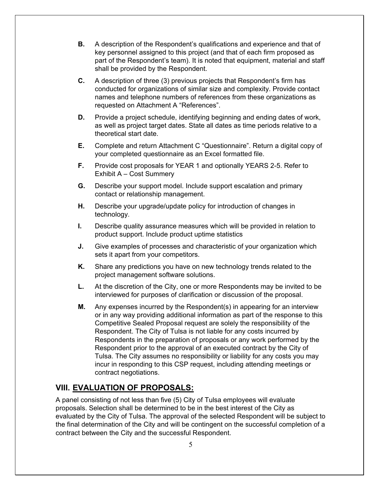- **B.** A description of the Respondent's qualifications and experience and that of key personnel assigned to this project (and that of each firm proposed as part of the Respondent's team). It is noted that equipment, material and staff shall be provided by the Respondent.
- **C.** A description of three (3) previous projects that Respondent's firm has conducted for organizations of similar size and complexity. Provide contact names and telephone numbers of references from these organizations as requested on Attachment A "References".
- **D.** Provide a project schedule, identifying beginning and ending dates of work, as well as project target dates. State all dates as time periods relative to a theoretical start date.
- **E.** Complete and return Attachment C "Questionnaire". Return a digital copy of your completed questionnaire as an Excel formatted file.
- **F.** Provide cost proposals for YEAR 1 and optionally YEARS 2-5. Refer to Exhibit A – Cost Summery
- **G.** Describe your support model. Include support escalation and primary contact or relationship management.
- **H.** Describe your upgrade/update policy for introduction of changes in technology.
- **I.** Describe quality assurance measures which will be provided in relation to product support. Include product uptime statistics
- **J.** Give examples of processes and characteristic of your organization which sets it apart from your competitors.
- **K.** Share any predictions you have on new technology trends related to the project management software solutions.
- **L.** At the discretion of the City, one or more Respondents may be invited to be interviewed for purposes of clarification or discussion of the proposal.
- **M.** Any expenses incurred by the Respondent(s) in appearing for an interview or in any way providing additional information as part of the response to this Competitive Sealed Proposal request are solely the responsibility of the Respondent. The City of Tulsa is not liable for any costs incurred by Respondents in the preparation of proposals or any work performed by the Respondent prior to the approval of an executed contract by the City of Tulsa. The City assumes no responsibility or liability for any costs you may incur in responding to this CSP request, including attending meetings or contract negotiations.

### **VIII. EVALUATION OF PROPOSALS:**

A panel consisting of not less than five (5) City of Tulsa employees will evaluate proposals. Selection shall be determined to be in the best interest of the City as evaluated by the City of Tulsa. The approval of the selected Respondent will be subject to the final determination of the City and will be contingent on the successful completion of a contract between the City and the successful Respondent.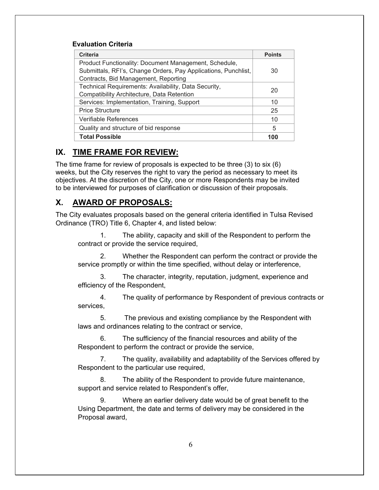#### **Evaluation Criteria**

| <b>Criteria</b>                                                | <b>Points</b> |
|----------------------------------------------------------------|---------------|
| Product Functionality: Document Management, Schedule,          |               |
| Submittals, RFI's, Change Orders, Pay Applications, Punchlist, | 30            |
| Contracts, Bid Management, Reporting                           |               |
| Technical Requirements: Availability, Data Security,           | 20            |
| Compatibility Architecture, Data Retention                     |               |
| Services: Implementation, Training, Support                    | 10            |
| <b>Price Structure</b>                                         | 25            |
| Verifiable References                                          | 10            |
| Quality and structure of bid response                          | 5             |
| <b>Total Possible</b>                                          | 100           |

### **IX. TIME FRAME FOR REVIEW:**

The time frame for review of proposals is expected to be three (3) to six (6) weeks, but the City reserves the right to vary the period as necessary to meet its objectives. At the discretion of the City, one or more Respondents may be invited to be interviewed for purposes of clarification or discussion of their proposals.

### **X. AWARD OF PROPOSALS:**

The City evaluates proposals based on the general criteria identified in Tulsa Revised Ordinance (TRO) Title 6, Chapter 4, and listed below:

1. The ability, capacity and skill of the Respondent to perform the contract or provide the service required,

2. Whether the Respondent can perform the contract or provide the service promptly or within the time specified, without delay or interference,

3. The character, integrity, reputation, judgment, experience and efficiency of the Respondent,

4. The quality of performance by Respondent of previous contracts or services,

5. The previous and existing compliance by the Respondent with laws and ordinances relating to the contract or service,

6. The sufficiency of the financial resources and ability of the Respondent to perform the contract or provide the service,

7. The quality, availability and adaptability of the Services offered by Respondent to the particular use required,

8. The ability of the Respondent to provide future maintenance, support and service related to Respondent's offer,

Where an earlier delivery date would be of great benefit to the Using Department, the date and terms of delivery may be considered in the Proposal award,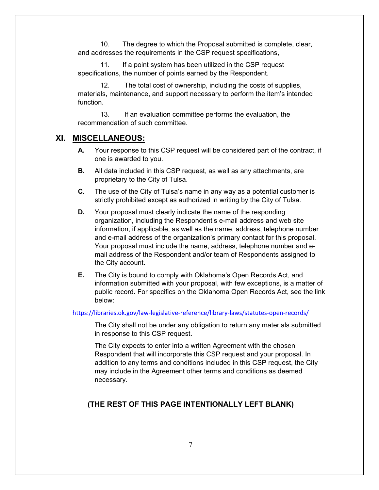10. The degree to which the Proposal submitted is complete, clear, and addresses the requirements in the CSP request specifications,

11. If a point system has been utilized in the CSP request specifications, the number of points earned by the Respondent.

12. The total cost of ownership, including the costs of supplies, materials, maintenance, and support necessary to perform the item's intended function.

13. If an evaluation committee performs the evaluation, the recommendation of such committee.

#### **XI. MISCELLANEOUS:**

- **A.** Your response to this CSP request will be considered part of the contract, if one is awarded to you.
- **B.** All data included in this CSP request, as well as any attachments, are proprietary to the City of Tulsa.
- **C.** The use of the City of Tulsa's name in any way as a potential customer is strictly prohibited except as authorized in writing by the City of Tulsa.
- **D.** Your proposal must clearly indicate the name of the responding organization, including the Respondent's e-mail address and web site information, if applicable, as well as the name, address, telephone number and e-mail address of the organization's primary contact for this proposal. Your proposal must include the name, address, telephone number and email address of the Respondent and/or team of Respondents assigned to the City account.
- **E.** The City is bound to comply with Oklahoma's Open Records Act, and information submitted with your proposal, with few exceptions, is a matter of public record. For specifics on the Oklahoma Open Records Act, see the link below:

#### https://libraries.ok.gov/law-legislative-reference/library-laws/statutes-open-records/

The City shall not be under any obligation to return any materials submitted in response to this CSP request.

The City expects to enter into a written Agreement with the chosen Respondent that will incorporate this CSP request and your proposal. In addition to any terms and conditions included in this CSP request, the City may include in the Agreement other terms and conditions as deemed necessary.

### **(THE REST OF THIS PAGE INTENTIONALLY LEFT BLANK)**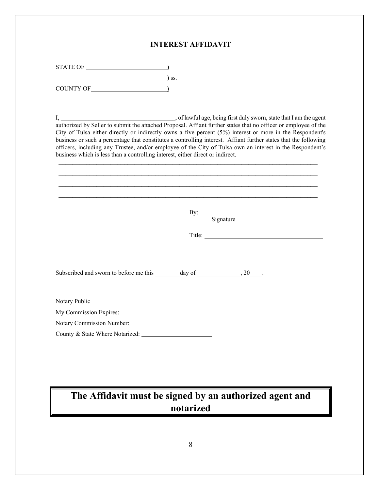#### **INTEREST AFFIDAVIT**

| <b>STATE OF</b> |        |
|-----------------|--------|
|                 | $\log$ |
| COUNTY OF       |        |

I, \_\_\_\_\_\_\_\_\_\_\_\_\_\_\_\_\_\_\_\_\_\_\_\_\_\_\_\_\_\_\_\_\_\_\_\_\_, of lawful age, being first duly sworn, state that I am the agent authorized by Seller to submit the attached Proposal. Affiant further states that no officer or employee of the City of Tulsa either directly or indirectly owns a five percent (5%) interest or more in the Respondent's business or such a percentage that constitutes a controlling interest. Affiant further states that the following officers, including any Trustee, and/or employee of the City of Tulsa own an interest in the Respondent's business which is less than a controlling interest, either direct or indirect.

 $\mathcal{L}_\text{max}$  and  $\mathcal{L}_\text{max}$  and  $\mathcal{L}_\text{max}$  and  $\mathcal{L}_\text{max}$  and  $\mathcal{L}_\text{max}$  and  $\mathcal{L}_\text{max}$ 

| By: Signature |
|---------------|
|               |
|               |
|               |
|               |
|               |
|               |
|               |
|               |
|               |
|               |
|               |
|               |
|               |

## **The Affidavit must be signed by an authorized agent and notarized**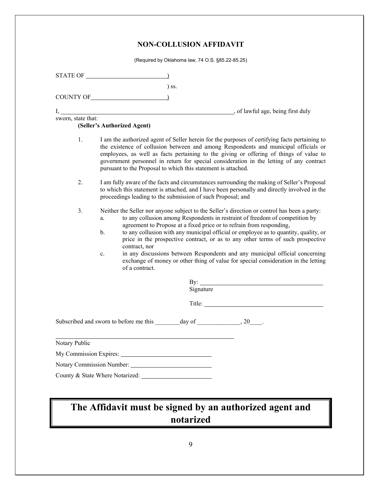### **NON-COLLUSION AFFIDAVIT**

(Required by Oklahoma law, 74 O.S. §85.22-85.25)

|                    | STATE OF                                                                                                                                                                                                                                                                                                                                                                                                                                                                                                                                                                                                                                                   |
|--------------------|------------------------------------------------------------------------------------------------------------------------------------------------------------------------------------------------------------------------------------------------------------------------------------------------------------------------------------------------------------------------------------------------------------------------------------------------------------------------------------------------------------------------------------------------------------------------------------------------------------------------------------------------------------|
|                    | $\sum$ ss.                                                                                                                                                                                                                                                                                                                                                                                                                                                                                                                                                                                                                                                 |
|                    |                                                                                                                                                                                                                                                                                                                                                                                                                                                                                                                                                                                                                                                            |
|                    |                                                                                                                                                                                                                                                                                                                                                                                                                                                                                                                                                                                                                                                            |
| sworn, state that: | (Seller's Authorized Agent)                                                                                                                                                                                                                                                                                                                                                                                                                                                                                                                                                                                                                                |
| 1.                 | I am the authorized agent of Seller herein for the purposes of certifying facts pertaining to<br>the existence of collusion between and among Respondents and municipal officials or<br>employees, as well as facts pertaining to the giving or offering of things of value to<br>government personnel in return for special consideration in the letting of any contract<br>pursuant to the Proposal to which this statement is attached.                                                                                                                                                                                                                 |
| 2.                 | I am fully aware of the facts and circumstances surrounding the making of Seller's Proposal<br>to which this statement is attached, and I have been personally and directly involved in the<br>proceedings leading to the submission of such Proposal; and                                                                                                                                                                                                                                                                                                                                                                                                 |
| 3.                 | Neither the Seller nor anyone subject to the Seller's direction or control has been a party:<br>to any collusion among Respondents in restraint of freedom of competition by<br>a.<br>agreement to Propose at a fixed price or to refrain from responding,<br>to any collusion with any municipal official or employee as to quantity, quality, or<br>b.<br>price in the prospective contract, or as to any other terms of such prospective<br>contract, nor<br>in any discussions between Respondents and any municipal official concerning<br>c.<br>exchange of money or other thing of value for special consideration in the letting<br>of a contract. |
|                    | By: $\qquad \qquad$                                                                                                                                                                                                                                                                                                                                                                                                                                                                                                                                                                                                                                        |
|                    | Signature                                                                                                                                                                                                                                                                                                                                                                                                                                                                                                                                                                                                                                                  |
|                    |                                                                                                                                                                                                                                                                                                                                                                                                                                                                                                                                                                                                                                                            |
|                    | Subscribed and sworn to before me this _______ day of ________________, 20_____.                                                                                                                                                                                                                                                                                                                                                                                                                                                                                                                                                                           |
| Notary Public      |                                                                                                                                                                                                                                                                                                                                                                                                                                                                                                                                                                                                                                                            |
|                    |                                                                                                                                                                                                                                                                                                                                                                                                                                                                                                                                                                                                                                                            |
|                    |                                                                                                                                                                                                                                                                                                                                                                                                                                                                                                                                                                                                                                                            |
|                    | County & State Where Notarized:                                                                                                                                                                                                                                                                                                                                                                                                                                                                                                                                                                                                                            |
|                    |                                                                                                                                                                                                                                                                                                                                                                                                                                                                                                                                                                                                                                                            |
|                    | The Affidavit must be signed by an authorized agent and                                                                                                                                                                                                                                                                                                                                                                                                                                                                                                                                                                                                    |

### **The Affidavit must be signed by an authorized agent and notarized**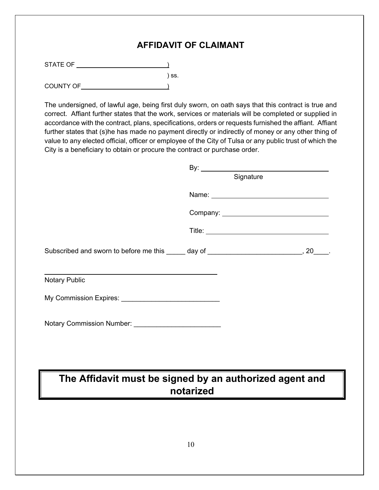### **AFFIDAVIT OF CLAIMANT**

STATE OF )

 $\qquad \qquad \text{{\sf l} \;s.}$ COUNTY OF  $\qquad \qquad$ 

The undersigned, of lawful age, being first duly sworn, on oath says that this contract is true and correct. Affiant further states that the work, services or materials will be completed or supplied in accordance with the contract, plans, specifications, orders or requests furnished the affiant. Affiant further states that (s)he has made no payment directly or indirectly of money or any other thing of value to any elected official, officer or employee of the City of Tulsa or any public trust of which the City is a beneficiary to obtain or procure the contract or purchase order.

|                                                                                         | By: $\qquad \qquad$ |                                           |
|-----------------------------------------------------------------------------------------|---------------------|-------------------------------------------|
|                                                                                         | Signature           |                                           |
|                                                                                         |                     | Name:                                     |
|                                                                                         |                     | Company: ________________________________ |
|                                                                                         |                     |                                           |
| Subscribed and sworn to before me this _____ day of __________________________, 20____. |                     |                                           |
| <b>Notary Public</b>                                                                    |                     |                                           |
| My Commission Expires: __________________________________                               |                     |                                           |
| Notary Commission Number: _____________________________                                 |                     |                                           |
|                                                                                         |                     |                                           |
|                                                                                         |                     |                                           |
| The Affidavit must be signed by an authorized agent and                                 |                     |                                           |
|                                                                                         | notarized           |                                           |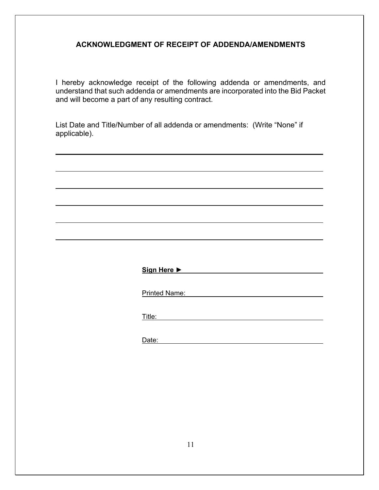### **ACKNOWLEDGMENT OF RECEIPT OF ADDENDA/AMENDMENTS**

I hereby acknowledge receipt of the following addenda or amendments, and understand that such addenda or amendments are incorporated into the Bid Packet and will become a part of any resulting contract.

List Date and Title/Number of all addenda or amendments: (Write "None" if applicable).

**Sign Here ►** 

Printed Name:

Title: Title: Title: The Contract of the Contract of the Contract of the Contract of the Contract of the Contract of the Contract of the Contract of the Contract of the Contract of the Contract of the Contract of the Contr

Date: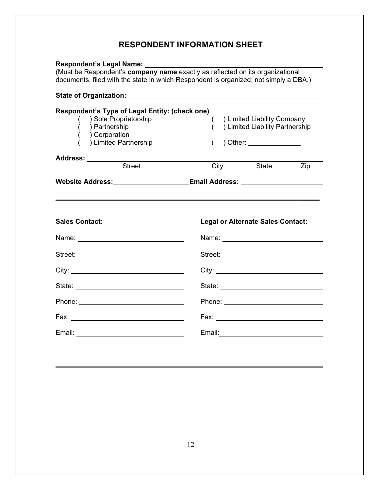### **RESPONDENT INFORMATION SHEET**

| Respondent's Legal Name: Name:                                                                                                                                                                                                       |                                                                                                                                                                                                                                      |  |  |  |
|--------------------------------------------------------------------------------------------------------------------------------------------------------------------------------------------------------------------------------------|--------------------------------------------------------------------------------------------------------------------------------------------------------------------------------------------------------------------------------------|--|--|--|
| (Must be Respondent's company name exactly as reflected on its organizational<br>documents, filed with the state in which Respondent is organized; not simply a DBA.)                                                                |                                                                                                                                                                                                                                      |  |  |  |
|                                                                                                                                                                                                                                      |                                                                                                                                                                                                                                      |  |  |  |
| Respondent's Type of Legal Entity: (check one)<br>() Sole Proprietorship<br>( ) Partnership<br>$($ ) Corporation<br>) Limited Partnership                                                                                            | ( ) Limited Liability Company<br>) Limited Liability Partnership<br>$\left($<br>) Other: _______________                                                                                                                             |  |  |  |
| Address: ________<br>Street                                                                                                                                                                                                          |                                                                                                                                                                                                                                      |  |  |  |
|                                                                                                                                                                                                                                      | City<br>State<br>Zip                                                                                                                                                                                                                 |  |  |  |
| <b>Sales Contact:</b>                                                                                                                                                                                                                | Website Address:___________________Email Address: ________________________<br><b>Legal or Alternate Sales Contact:</b>                                                                                                               |  |  |  |
|                                                                                                                                                                                                                                      |                                                                                                                                                                                                                                      |  |  |  |
|                                                                                                                                                                                                                                      | Street: <u>with the street of the street</u> and the street of the street of the street of the street of the street of the street of the street of the street of the street of the street of the street of the street of the street  |  |  |  |
|                                                                                                                                                                                                                                      |                                                                                                                                                                                                                                      |  |  |  |
|                                                                                                                                                                                                                                      | State: <u>________________________________</u>                                                                                                                                                                                       |  |  |  |
|                                                                                                                                                                                                                                      |                                                                                                                                                                                                                                      |  |  |  |
|                                                                                                                                                                                                                                      |                                                                                                                                                                                                                                      |  |  |  |
| Email: <u>Alexander Alexander Alexander Alexander Alexander Alexander Alexander Alexander Alexander Alexander Alexander Alexander Alexander Alexander Alexander Alexander Alexander Alexander Alexander Alexander Alexander Alex</u> | Email: <b>Exercise Contract Contract Contract Contract Contract Contract Contract Contract Contract Contract Contract Contract Contract Contract Contract Contract Contract Contract Contract Contract Contract Contract Contrac</b> |  |  |  |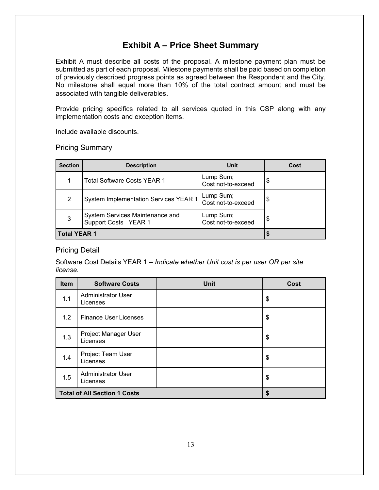### **Exhibit A – Price Sheet Summary**

Exhibit A must describe all costs of the proposal. A milestone payment plan must be submitted as part of each proposal. Milestone payments shall be paid based on completion of previously described progress points as agreed between the Respondent and the City. No milestone shall equal more than 10% of the total contract amount and must be associated with tangible deliverables.

Provide pricing specifics related to all services quoted in this CSP along with any implementation costs and exception items.

Include available discounts.

Pricing Summary

| <b>Section</b>      | <b>Description</b>                                      | Unit                            | Cost |
|---------------------|---------------------------------------------------------|---------------------------------|------|
|                     | <b>Total Software Costs YEAR 1</b>                      | Lump Sum;<br>Cost not-to-exceed | \$   |
| 2                   | <b>System Implementation Services YEAR 1</b>            | Lump Sum;<br>Cost not-to-exceed | S    |
| 3                   | System Services Maintenance and<br>Support Costs YEAR 1 | Lump Sum;<br>Cost not-to-exceed | \$   |
| <b>Total YEAR 1</b> |                                                         |                                 |      |

### Pricing Detail

Software Cost Details YEAR 1 – *Indicate whether Unit cost is per user OR per site license.* 

| Item                                | <b>Software Costs</b>                 | <b>Unit</b> | Cost |
|-------------------------------------|---------------------------------------|-------------|------|
| 1.1                                 | <b>Administrator User</b><br>Licenses |             | \$   |
| 1.2                                 | <b>Finance User Licenses</b>          |             | \$   |
| 1.3                                 | Project Manager User<br>Licenses      |             | \$   |
| 1.4                                 | Project Team User<br>Licenses         |             | \$   |
| 1.5                                 | <b>Administrator User</b><br>Licenses |             | \$   |
| <b>Total of All Section 1 Costs</b> |                                       | \$          |      |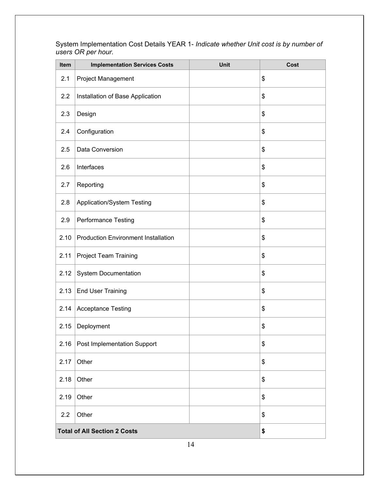| Item                                | <b>Implementation Services Costs</b>       | <b>Unit</b> | Cost |
|-------------------------------------|--------------------------------------------|-------------|------|
| 2.1                                 | Project Management                         |             | \$   |
| 2.2                                 | Installation of Base Application           |             | \$   |
| 2.3                                 | Design                                     |             | \$   |
| 2.4                                 | Configuration                              |             | \$   |
| 2.5                                 | Data Conversion                            |             | \$   |
| 2.6                                 | Interfaces                                 |             | \$   |
| 2.7                                 | Reporting                                  |             | \$   |
| 2.8                                 | <b>Application/System Testing</b>          |             | \$   |
| 2.9                                 | Performance Testing                        |             | \$   |
| 2.10                                | <b>Production Environment Installation</b> |             | \$   |
| 2.11                                | <b>Project Team Training</b>               |             | \$   |
| 2.12                                | <b>System Documentation</b>                |             | \$   |
| 2.13                                | <b>End User Training</b>                   |             | \$   |
| 2.14                                | <b>Acceptance Testing</b>                  |             | \$   |
| 2.15                                | Deployment                                 |             | \$   |
| 2.16                                | Post Implementation Support                |             | \$   |
| 2.17                                | Other                                      |             | \$   |
| 2.18                                | Other                                      |             | \$   |
| 2.19                                | Other                                      |             | \$   |
| 2.2                                 | Other                                      |             | \$   |
| <b>Total of All Section 2 Costs</b> |                                            |             | \$   |

System Implementation Cost Details YEAR 1- *Indicate whether Unit cost is by number of users OR per hour.* 

14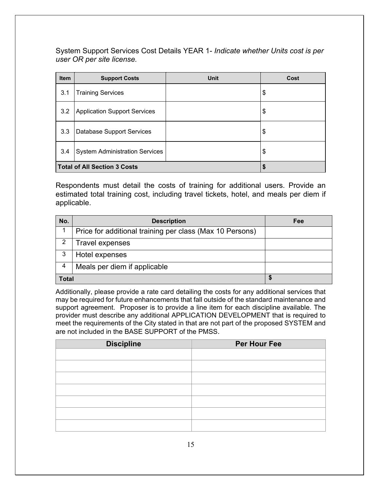System Support Services Cost Details YEAR 1- *Indicate whether Units cost is per user OR per site license.* 

| <b>Item</b>                         | <b>Support Costs</b>                  | Unit | Cost |
|-------------------------------------|---------------------------------------|------|------|
| 3.1                                 | <b>Training Services</b>              |      | \$   |
| 3.2                                 | <b>Application Support Services</b>   |      | \$   |
| 3.3                                 | <b>Database Support Services</b>      |      | \$   |
| 3.4                                 | <b>System Administration Services</b> |      | \$   |
| <b>Total of All Section 3 Costs</b> |                                       | S    |      |

Respondents must detail the costs of training for additional users. Provide an estimated total training cost, including travel tickets, hotel, and meals per diem if applicable.

| No.          | <b>Description</b>                                       | Fee |
|--------------|----------------------------------------------------------|-----|
|              | Price for additional training per class (Max 10 Persons) |     |
|              | Travel expenses                                          |     |
| 3            | Hotel expenses                                           |     |
| 4            | Meals per diem if applicable                             |     |
| <b>Total</b> |                                                          |     |

Additionally, please provide a rate card detailing the costs for any additional services that may be required for future enhancements that fall outside of the standard maintenance and support agreement. Proposer is to provide a line item for each discipline available. The provider must describe any additional APPLICATION DEVELOPMENT that is required to meet the requirements of the City stated in that are not part of the proposed SYSTEM and are not included in the BASE SUPPORT of the PMSS.

| <b>Discipline</b> | Per Hour Fee |
|-------------------|--------------|
|                   |              |
|                   |              |
|                   |              |
|                   |              |
|                   |              |
|                   |              |
|                   |              |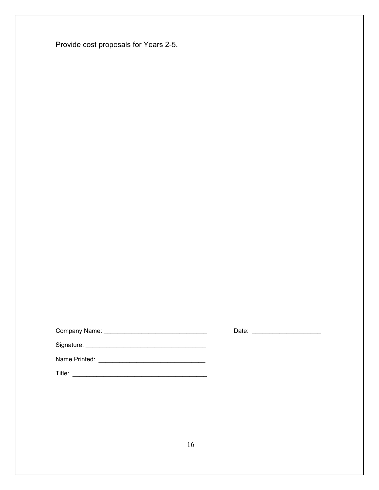Provide cost proposals for Years 2-5.

Company Name: \_\_\_\_\_\_\_\_\_\_\_\_\_\_\_\_\_\_\_\_\_\_\_\_\_\_\_\_\_\_ Date: \_\_\_\_\_\_\_\_\_\_\_\_\_\_\_\_\_\_\_\_

Signature: \_\_\_\_\_\_\_\_\_\_\_\_\_\_\_\_\_\_\_\_\_\_\_\_\_\_\_\_\_\_\_\_\_\_\_

Name Printed: \_\_\_\_\_\_\_\_\_\_\_\_\_\_\_\_\_\_\_\_\_\_\_\_\_\_\_\_\_\_\_

Title: \_\_\_\_\_\_\_\_\_\_\_\_\_\_\_\_\_\_\_\_\_\_\_\_\_\_\_\_\_\_\_\_\_\_\_\_\_\_\_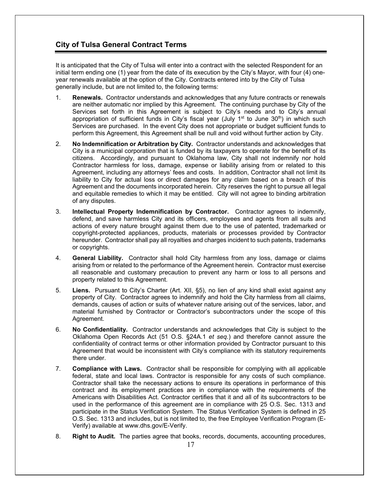#### **City of Tulsa General Contract Terms**

It is anticipated that the City of Tulsa will enter into a contract with the selected Respondent for an initial term ending one (1) year from the date of its execution by the City's Mayor, with four (4) oneyear renewals available at the option of the City. Contracts entered into by the City of Tulsa generally include, but are not limited to, the following terms:

- 1. **Renewals.** Contractor understands and acknowledges that any future contracts or renewals are neither automatic nor implied by this Agreement. The continuing purchase by City of the Services set forth in this Agreement is subject to City's needs and to City's annual appropriation of sufficient funds in City's fiscal year (July  $1<sup>st</sup>$  to June 30<sup>th</sup>) in which such Services are purchased. In the event City does not appropriate or budget sufficient funds to perform this Agreement, this Agreement shall be null and void without further action by City.
- 2. **No Indemnification or Arbitration by City.** Contractor understands and acknowledges that City is a municipal corporation that is funded by its taxpayers to operate for the benefit of its citizens. Accordingly, and pursuant to Oklahoma law, City shall not indemnify nor hold Contractor harmless for loss, damage, expense or liability arising from or related to this Agreement, including any attorneys' fees and costs. In addition, Contractor shall not limit its liability to City for actual loss or direct damages for any claim based on a breach of this Agreement and the documents incorporated herein. City reserves the right to pursue all legal and equitable remedies to which it may be entitled. City will not agree to binding arbitration of any disputes.
- 3. **Intellectual Property Indemnification by Contractor.** Contractor agrees to indemnify, defend, and save harmless City and its officers, employees and agents from all suits and actions of every nature brought against them due to the use of patented, trademarked or copyright-protected appliances, products, materials or processes provided by Contractor hereunder. Contractor shall pay all royalties and charges incident to such patents, trademarks or copyrights.
- 4. **General Liability.** Contractor shall hold City harmless from any loss, damage or claims arising from or related to the performance of the Agreement herein. Contractor must exercise all reasonable and customary precaution to prevent any harm or loss to all persons and property related to this Agreement.
- 5. **Liens.** Pursuant to City's Charter (Art. XII, §5), no lien of any kind shall exist against any property of City. Contractor agrees to indemnify and hold the City harmless from all claims, demands, causes of action or suits of whatever nature arising out of the services, labor, and material furnished by Contractor or Contractor's subcontractors under the scope of this Agreement.
- 6. **No Confidentiality.** Contractor understands and acknowledges that City is subject to the Oklahoma Open Records Act (51 O.S. §24A.1 *et seq.*) and therefore cannot assure the confidentiality of contract terms or other information provided by Contractor pursuant to this Agreement that would be inconsistent with City's compliance with its statutory requirements there under.
- 7. **Compliance with Laws.** Contractor shall be responsible for complying with all applicable federal, state and local laws. Contractor is responsible for any costs of such compliance. Contractor shall take the necessary actions to ensure its operations in performance of this contract and its employment practices are in compliance with the requirements of the Americans with Disabilities Act. Contractor certifies that it and all of its subcontractors to be used in the performance of this agreement are in compliance with 25 O.S. Sec. 1313 and participate in the Status Verification System. The Status Verification System is defined in 25 O.S. Sec. 1313 and includes, but is not limited to, the free Employee Verification Program (E-Verify) available at www.dhs.gov/E-Verify.
- 8. **Right to Audit.** The parties agree that books, records, documents, accounting procedures,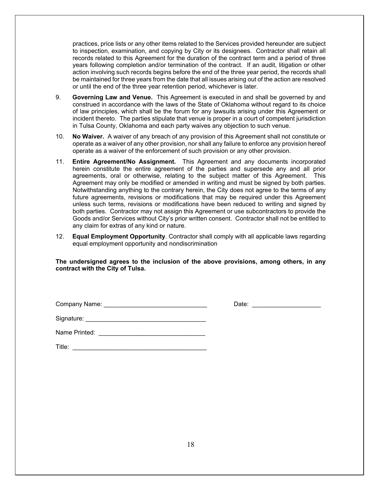practices, price lists or any other items related to the Services provided hereunder are subject to inspection, examination, and copying by City or its designees. Contractor shall retain all records related to this Agreement for the duration of the contract term and a period of three years following completion and/or termination of the contract. If an audit, litigation or other action involving such records begins before the end of the three year period, the records shall be maintained for three years from the date that all issues arising out of the action are resolved or until the end of the three year retention period, whichever is later.

- 9. **Governing Law and Venue.** This Agreement is executed in and shall be governed by and construed in accordance with the laws of the State of Oklahoma without regard to its choice of law principles, which shall be the forum for any lawsuits arising under this Agreement or incident thereto. The parties stipulate that venue is proper in a court of competent jurisdiction in Tulsa County, Oklahoma and each party waives any objection to such venue.
- 10. **No Waiver.** A waiver of any breach of any provision of this Agreement shall not constitute or operate as a waiver of any other provision, nor shall any failure to enforce any provision hereof operate as a waiver of the enforcement of such provision or any other provision.
- 11. **Entire Agreement/No Assignment.** This Agreement and any documents incorporated herein constitute the entire agreement of the parties and supersede any and all prior agreements, oral or otherwise, relating to the subject matter of this Agreement. This Agreement may only be modified or amended in writing and must be signed by both parties. Notwithstanding anything to the contrary herein, the City does not agree to the terms of any future agreements, revisions or modifications that may be required under this Agreement unless such terms, revisions or modifications have been reduced to writing and signed by both parties. Contractor may not assign this Agreement or use subcontractors to provide the Goods and/or Services without City's prior written consent. Contractor shall not be entitled to any claim for extras of any kind or nature.
- 12. **Equal Employment Opportunity**. Contractor shall comply with all applicable laws regarding equal employment opportunity and nondiscrimination

#### **The undersigned agrees to the inclusion of the above provisions, among others, in any contract with the City of Tulsa.**

| Company Name: |  |  |
|---------------|--|--|
|               |  |  |

Date:  $\Box$ 

| Signature: |  |
|------------|--|
|------------|--|

| Name Printed: |  |
|---------------|--|
|               |  |
|               |  |
|               |  |

Title:  $\frac{1}{\sqrt{2}}$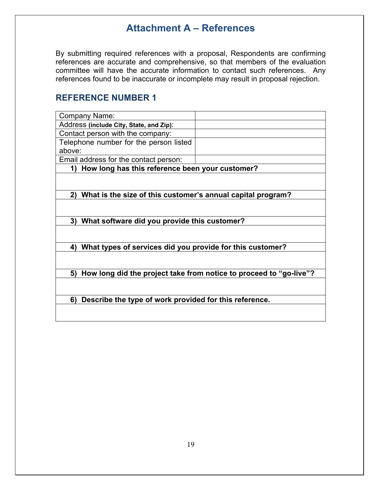### **Attachment A – References**

By submitting required references with a proposal, Respondents are confirming references are accurate and comprehensive, so that members of the evaluation committee will have the accurate information to contact such references. Any references found to be inaccurate or incomplete may result in proposal rejection.

### **REFERENCE NUMBER 1**

| Company Name:                                                     |                                                                    |
|-------------------------------------------------------------------|--------------------------------------------------------------------|
| Address (include City, State, and Zip):                           |                                                                    |
| Contact person with the company:                                  |                                                                    |
| Telephone number for the person listed                            |                                                                    |
| above:                                                            |                                                                    |
| Email address for the contact person:                             |                                                                    |
| How long has this reference been your customer?<br>1)             |                                                                    |
|                                                                   |                                                                    |
|                                                                   |                                                                    |
| What is the size of this customer's annual capital program?<br>2) |                                                                    |
|                                                                   |                                                                    |
|                                                                   |                                                                    |
| What software did you provide this customer?<br>3)                |                                                                    |
|                                                                   |                                                                    |
|                                                                   |                                                                    |
| What types of services did you provide for this customer?<br>4)   |                                                                    |
|                                                                   |                                                                    |
|                                                                   |                                                                    |
| 5)                                                                | How long did the project take from notice to proceed to "go-live"? |
|                                                                   |                                                                    |
|                                                                   |                                                                    |
| Describe the type of work provided for this reference.<br>6)      |                                                                    |
|                                                                   |                                                                    |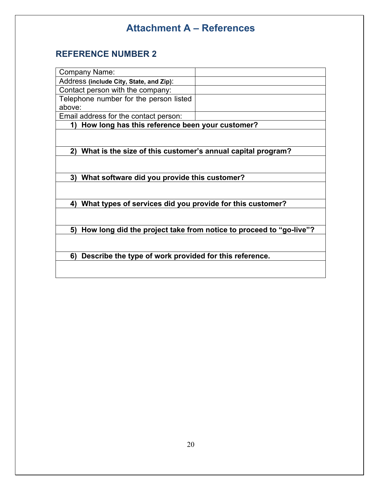# **Attachment A – References**

### **REFERENCE NUMBER 2**

| <b>Company Name:</b>                                              |                                                                    |
|-------------------------------------------------------------------|--------------------------------------------------------------------|
| Address (include City, State, and Zip):                           |                                                                    |
| Contact person with the company:                                  |                                                                    |
| Telephone number for the person listed                            |                                                                    |
| above:                                                            |                                                                    |
| Email address for the contact person:                             |                                                                    |
| How long has this reference been your customer?<br>1)             |                                                                    |
|                                                                   |                                                                    |
|                                                                   |                                                                    |
| What is the size of this customer's annual capital program?<br>2) |                                                                    |
|                                                                   |                                                                    |
|                                                                   |                                                                    |
| What software did you provide this customer?<br>3)                |                                                                    |
|                                                                   |                                                                    |
|                                                                   |                                                                    |
| What types of services did you provide for this customer?<br>4)   |                                                                    |
|                                                                   |                                                                    |
| 5)                                                                |                                                                    |
|                                                                   | How long did the project take from notice to proceed to "go-live"? |
|                                                                   |                                                                    |
| Describe the type of work provided for this reference.<br>6)      |                                                                    |
|                                                                   |                                                                    |
|                                                                   |                                                                    |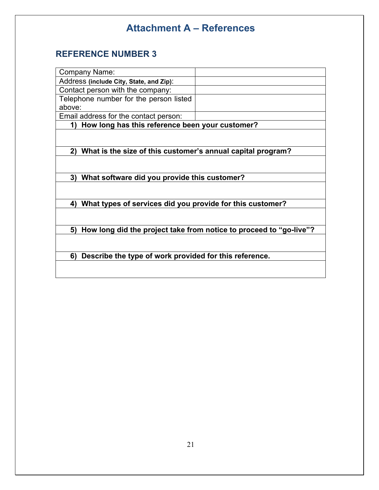# **Attachment A – References**

### **REFERENCE NUMBER 3**

| How long has this reference been your customer?                    |
|--------------------------------------------------------------------|
|                                                                    |
|                                                                    |
| What is the size of this customer's annual capital program?        |
|                                                                    |
|                                                                    |
| What software did you provide this customer?                       |
|                                                                    |
|                                                                    |
| What types of services did you provide for this customer?          |
|                                                                    |
|                                                                    |
| How long did the project take from notice to proceed to "go-live"? |
|                                                                    |
| Describe the type of work provided for this reference.             |
|                                                                    |
| Telephone number for the person listed                             |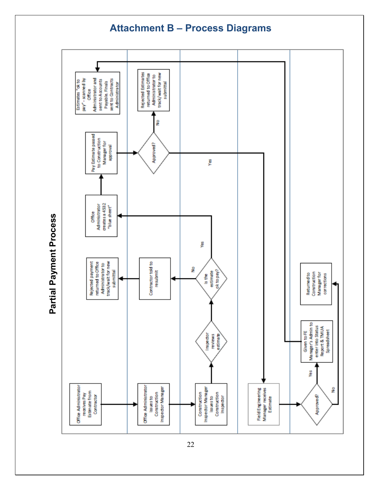### **Attachment B – Process Diagrams**



**Partial Payment Process** Partial Payment Process

22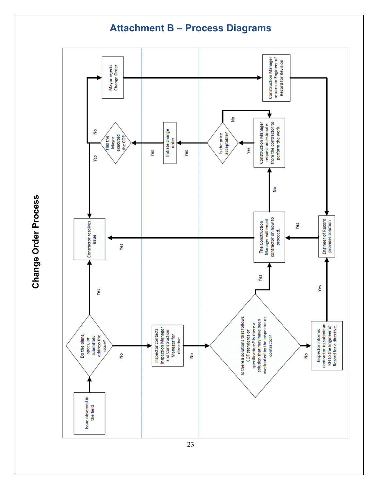

**Change Order Process** Change Order Process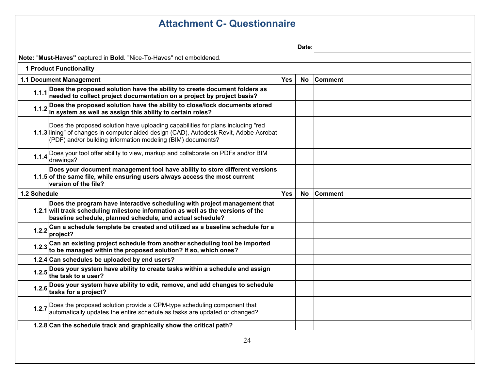### **Attachment C- Questionnaire**

**Date:** 

**Note:** "**Must-Haves"** captured in **Bold**. "Nice-To-Haves" not emboldened.

| <b>Comment</b><br>1.1 Document Management<br><b>Yes</b><br><b>No</b><br>1.1.1 Does the proposed solution have the ability to create document folders as<br>needed to collect project documentation on a project by project basis?<br>Does the proposed solution have the ability to close/lock documents stored in system as well as assign this ability to certain roles?<br>1.1.2<br>Does the proposed solution have uploading capabilities for plans including "red<br>1.1.3 lining" of changes in computer aided design (CAD), Autodesk Revit, Adobe Acrobat<br>(PDF) and/or building information modeling (BIM) documents?<br>1.1.4 Does your tool offer ability to view, markup and collaborate on PDFs and/or BIM<br>drawings?<br>Does your document management tool have ability to store different versions<br>1.1.5 of the same file, while ensuring users always access the most current<br>$\,$ version of the file?<br>1.2 Schedule<br><b>Yes</b><br><b>Comment</b><br><b>No</b><br>Does the program have interactive scheduling with project management that<br>1.2.1 will track scheduling milestone information as well as the versions of the<br>baseline schedule, planned schedule, and actual schedule?<br>1.2.2 Can a schedule template be created and utilized as a baseline schedule for a<br>project?<br>1.2.3 Can an existing project schedule from another scheduling tool be imported $\big $ to be managed within the proposed solution? If so, which ones?<br>1.2.4 Can schedules be uploaded by end users?<br>1.2.5 Does your system have ability to create tasks within a schedule and assign<br>the task to a user?<br>1.2.6 Does your system have ability to edit, remove, and add changes to schedule<br>tasks for a project?<br>1.2.7 Does the proposed solution provide a CPM-type scheduling component that<br>automatically updates the entire schedule as tasks are updated or changed?<br>1.2.8 Can the schedule track and graphically show the critical path? | 1 Product Functionality |  |  |  |  |
|--------------------------------------------------------------------------------------------------------------------------------------------------------------------------------------------------------------------------------------------------------------------------------------------------------------------------------------------------------------------------------------------------------------------------------------------------------------------------------------------------------------------------------------------------------------------------------------------------------------------------------------------------------------------------------------------------------------------------------------------------------------------------------------------------------------------------------------------------------------------------------------------------------------------------------------------------------------------------------------------------------------------------------------------------------------------------------------------------------------------------------------------------------------------------------------------------------------------------------------------------------------------------------------------------------------------------------------------------------------------------------------------------------------------------------------------------------------------------------------------------------------------------------------------------------------------------------------------------------------------------------------------------------------------------------------------------------------------------------------------------------------------------------------------------------------------------------------------------------------------------------------------------------------------------------------------------------------------------------------------------------|-------------------------|--|--|--|--|
|                                                                                                                                                                                                                                                                                                                                                                                                                                                                                                                                                                                                                                                                                                                                                                                                                                                                                                                                                                                                                                                                                                                                                                                                                                                                                                                                                                                                                                                                                                                                                                                                                                                                                                                                                                                                                                                                                                                                                                                                        |                         |  |  |  |  |
|                                                                                                                                                                                                                                                                                                                                                                                                                                                                                                                                                                                                                                                                                                                                                                                                                                                                                                                                                                                                                                                                                                                                                                                                                                                                                                                                                                                                                                                                                                                                                                                                                                                                                                                                                                                                                                                                                                                                                                                                        |                         |  |  |  |  |
|                                                                                                                                                                                                                                                                                                                                                                                                                                                                                                                                                                                                                                                                                                                                                                                                                                                                                                                                                                                                                                                                                                                                                                                                                                                                                                                                                                                                                                                                                                                                                                                                                                                                                                                                                                                                                                                                                                                                                                                                        |                         |  |  |  |  |
|                                                                                                                                                                                                                                                                                                                                                                                                                                                                                                                                                                                                                                                                                                                                                                                                                                                                                                                                                                                                                                                                                                                                                                                                                                                                                                                                                                                                                                                                                                                                                                                                                                                                                                                                                                                                                                                                                                                                                                                                        |                         |  |  |  |  |
|                                                                                                                                                                                                                                                                                                                                                                                                                                                                                                                                                                                                                                                                                                                                                                                                                                                                                                                                                                                                                                                                                                                                                                                                                                                                                                                                                                                                                                                                                                                                                                                                                                                                                                                                                                                                                                                                                                                                                                                                        |                         |  |  |  |  |
|                                                                                                                                                                                                                                                                                                                                                                                                                                                                                                                                                                                                                                                                                                                                                                                                                                                                                                                                                                                                                                                                                                                                                                                                                                                                                                                                                                                                                                                                                                                                                                                                                                                                                                                                                                                                                                                                                                                                                                                                        |                         |  |  |  |  |
|                                                                                                                                                                                                                                                                                                                                                                                                                                                                                                                                                                                                                                                                                                                                                                                                                                                                                                                                                                                                                                                                                                                                                                                                                                                                                                                                                                                                                                                                                                                                                                                                                                                                                                                                                                                                                                                                                                                                                                                                        |                         |  |  |  |  |
|                                                                                                                                                                                                                                                                                                                                                                                                                                                                                                                                                                                                                                                                                                                                                                                                                                                                                                                                                                                                                                                                                                                                                                                                                                                                                                                                                                                                                                                                                                                                                                                                                                                                                                                                                                                                                                                                                                                                                                                                        |                         |  |  |  |  |
|                                                                                                                                                                                                                                                                                                                                                                                                                                                                                                                                                                                                                                                                                                                                                                                                                                                                                                                                                                                                                                                                                                                                                                                                                                                                                                                                                                                                                                                                                                                                                                                                                                                                                                                                                                                                                                                                                                                                                                                                        |                         |  |  |  |  |
|                                                                                                                                                                                                                                                                                                                                                                                                                                                                                                                                                                                                                                                                                                                                                                                                                                                                                                                                                                                                                                                                                                                                                                                                                                                                                                                                                                                                                                                                                                                                                                                                                                                                                                                                                                                                                                                                                                                                                                                                        |                         |  |  |  |  |
|                                                                                                                                                                                                                                                                                                                                                                                                                                                                                                                                                                                                                                                                                                                                                                                                                                                                                                                                                                                                                                                                                                                                                                                                                                                                                                                                                                                                                                                                                                                                                                                                                                                                                                                                                                                                                                                                                                                                                                                                        |                         |  |  |  |  |
|                                                                                                                                                                                                                                                                                                                                                                                                                                                                                                                                                                                                                                                                                                                                                                                                                                                                                                                                                                                                                                                                                                                                                                                                                                                                                                                                                                                                                                                                                                                                                                                                                                                                                                                                                                                                                                                                                                                                                                                                        |                         |  |  |  |  |
|                                                                                                                                                                                                                                                                                                                                                                                                                                                                                                                                                                                                                                                                                                                                                                                                                                                                                                                                                                                                                                                                                                                                                                                                                                                                                                                                                                                                                                                                                                                                                                                                                                                                                                                                                                                                                                                                                                                                                                                                        |                         |  |  |  |  |
|                                                                                                                                                                                                                                                                                                                                                                                                                                                                                                                                                                                                                                                                                                                                                                                                                                                                                                                                                                                                                                                                                                                                                                                                                                                                                                                                                                                                                                                                                                                                                                                                                                                                                                                                                                                                                                                                                                                                                                                                        |                         |  |  |  |  |
|                                                                                                                                                                                                                                                                                                                                                                                                                                                                                                                                                                                                                                                                                                                                                                                                                                                                                                                                                                                                                                                                                                                                                                                                                                                                                                                                                                                                                                                                                                                                                                                                                                                                                                                                                                                                                                                                                                                                                                                                        |                         |  |  |  |  |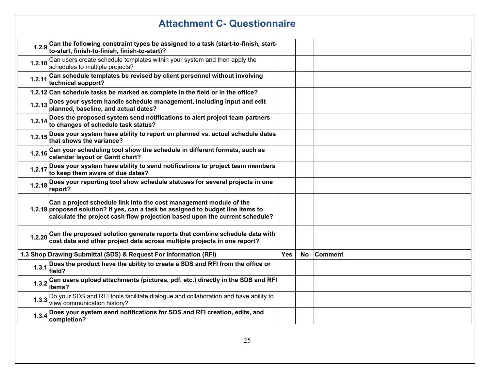|        | <b>Attachment C- Questionnaire</b>                                                                                                                                                                                                    |            |           |                |  |
|--------|---------------------------------------------------------------------------------------------------------------------------------------------------------------------------------------------------------------------------------------|------------|-----------|----------------|--|
|        | 1.2.9 Can the following constraint types be assigned to a task (start-to-finish, start-<br>to-start, finish-to-finish, finish-to-start)?                                                                                              |            |           |                |  |
| 1.2.10 | Can users create schedule templates within your system and then apply the<br>schedules to multiple projects?                                                                                                                          |            |           |                |  |
| 1.2.11 | Can schedule templates be revised by client personnel without involving<br>technical support?                                                                                                                                         |            |           |                |  |
|        | 1.2.12 Can schedule tasks be marked as complete in the field or in the office?                                                                                                                                                        |            |           |                |  |
|        | 1.2.13 Does your system handle schedule management, including input and edit<br>planned, baseline, and actual dates?                                                                                                                  |            |           |                |  |
| 1.2.14 | Does the proposed system send notifications to alert project team partners<br>to changes of schedule task status?                                                                                                                     |            |           |                |  |
| 1.2.15 | Does your system have ability to report on planned vs. actual schedule dates<br>that shows the variance?                                                                                                                              |            |           |                |  |
|        | 1.2.16 Can your scheduling tool show the schedule in different formats, such as<br>calendar layout or Gantt chart?                                                                                                                    |            |           |                |  |
|        | 1.2.17 Does your system have ability to send notifications to project team members<br>to keep them aware of due dates?                                                                                                                |            |           |                |  |
|        | 1.2.18 Does your reporting tool show schedule statuses for several projects in one<br>report?                                                                                                                                         |            |           |                |  |
|        | Can a project schedule link into the cost management module of the<br>1.2.19 proposed solution? If yes, can a task be assigned to budget line items to<br>calculate the project cash flow projection based upon the current schedule? |            |           |                |  |
|        | 1.2.20 Can the proposed solution generate reports that combine schedule data with<br>cost data and other project data across multiple projects in one report?                                                                         |            |           |                |  |
|        | 1.3 Shop Drawing Submittal (SDS) & Request For Information (RFI)                                                                                                                                                                      | <b>Yes</b> | <b>No</b> | <b>Comment</b> |  |
|        | 1.3.1 Does the product have the ability to create a SDS and RFI from the office or<br>field?                                                                                                                                          |            |           |                |  |
|        | 1.3.2 Can users upload attachments (pictures, pdf, etc.) directly in the SDS and RFI<br>litems?                                                                                                                                       |            |           |                |  |
|        | 1.3.3 Do your SDS and RFI tools facilitate dialogue and collaboration and have ability to<br>view communication history?                                                                                                              |            |           |                |  |
| 1.3.4  | Does your system send notifications for SDS and RFI creation, edits, and<br>completion?                                                                                                                                               |            |           |                |  |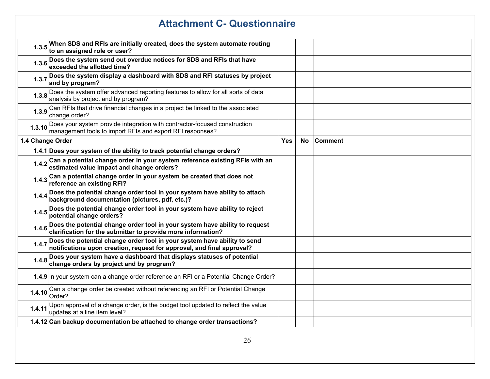|                  | <b>Attachment C- Questionnaire</b>                                                                                                                      |            |    |         |
|------------------|---------------------------------------------------------------------------------------------------------------------------------------------------------|------------|----|---------|
|                  | 1.3.5 When SDS and RFIs are initially created, does the system automate routing<br>to an assigned role or user?                                         |            |    |         |
|                  | 1.3.6 Does the system send out overdue notices for SDS and RFIs that have<br>exceeded the allotted time?                                                |            |    |         |
|                  | 1.3.7 Does the system display a dashboard with SDS and RFI statuses by project<br>and by program?                                                       |            |    |         |
|                  | 1.3.8 Does the system offer advanced reporting features to allow for all sorts of data<br>analysis by project and by program?                           |            |    |         |
|                  | 1.3.9 Can RFIs that drive financial changes in a project be linked to the associated<br>change order?                                                   |            |    |         |
|                  | 1.3.10 Does your system provide integration with contractor-focused construction<br>management tools to import RFIs and export RFI responses?           |            |    |         |
| 1.4 Change Order |                                                                                                                                                         | <b>Yes</b> | No | Comment |
|                  | 1.4.1 Does your system of the ability to track potential change orders?                                                                                 |            |    |         |
|                  | 1.4.2 Can a potential change order in your system reference existing RFIs with an<br>1.4.2 estimated value impact and change orders?                    |            |    |         |
|                  | 1.4.3 Can a potential change order in your system be created that does not<br>reference an existing RFI?                                                |            |    |         |
|                  | 1.4.4 Does the potential change order tool in your system have ability to attach<br>background documentation (pictures, pdf, etc.)?                     |            |    |         |
|                  | 1.4.5 Does the potential change order tool in your system have ability to reject<br>potential change orders?                                            |            |    |         |
|                  | 1.4.6 Does the potential change order tool in your system have ability to request<br>1.4.6 clarification for the submitter to provide more information? |            |    |         |
| 1.4.7            | Does the potential change order tool in your system have ability to send<br>notifications upon creation, request for approval, and final approval?      |            |    |         |
| 1.4.8            | Does your system have a dashboard that displays statuses of potential<br>change orders by project and by program?                                       |            |    |         |
|                  | 1.4.9 In your system can a change order reference an RFI or a Potential Change Order?                                                                   |            |    |         |
| 1.4.10           | Can a change order be created without referencing an RFI or Potential Change<br>Order?                                                                  |            |    |         |
| 1.4.11           | Upon approval of a change order, is the budget tool updated to reflect the value<br>updates at a line item level?                                       |            |    |         |
|                  | 1.4.12 Can backup documentation be attached to change order transactions?                                                                               |            |    |         |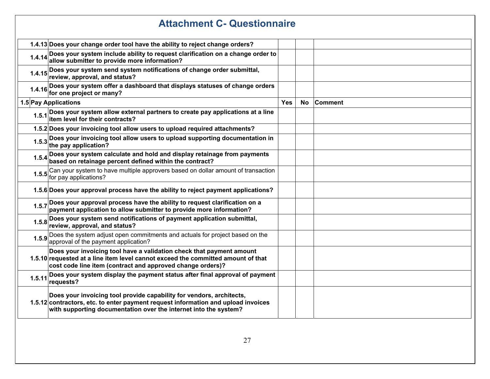|        | <b>Attachment C- Questionnaire</b>                                                                                                                                                                                            |     |           |                |  |
|--------|-------------------------------------------------------------------------------------------------------------------------------------------------------------------------------------------------------------------------------|-----|-----------|----------------|--|
|        | 1.4.13 Does your change order tool have the ability to reject change orders?                                                                                                                                                  |     |           |                |  |
| 1.4.14 | Does your system include ability to request clarification on a change order to allow submitter to provide more information?                                                                                                   |     |           |                |  |
| 1.4.15 | Does your system send system notifications of change order submittal,<br> review, approval, and status?                                                                                                                       |     |           |                |  |
|        | 1.4.16 Does your system offer a dashboard that displays statuses of change orders<br>for one project or many?                                                                                                                 |     |           |                |  |
|        | 1.5 Pay Applications                                                                                                                                                                                                          | Yes | <b>No</b> | <b>Comment</b> |  |
|        | 1.5.1 Does your system allow external partners to create pay applications at a line<br>titem level for their contracts?                                                                                                       |     |           |                |  |
|        | 1.5.2 Does your invoicing tool allow users to upload required attachments?                                                                                                                                                    |     |           |                |  |
|        | 1.5.3 Does your invoicing tool allow users to upload supporting documentation in<br>the pay application?                                                                                                                      |     |           |                |  |
|        | 1.5.4 Does your system calculate and hold and display retainage from payments<br>1.5.4 based on retainage percent defined within the contract?                                                                                |     |           |                |  |
|        | 1.5.5 Can your system to have multiple approvers based on dollar amount of transaction<br>1.5.5 for pay applications?                                                                                                         |     |           |                |  |
|        | 1.5.6 Does your approval process have the ability to reject payment applications?                                                                                                                                             |     |           |                |  |
| 1.5.7  | Does your approval process have the ability to request clarification on a payment application to allow submitter to provide more information?                                                                                 |     |           |                |  |
|        | 1.5.8 Does your system send notifications of payment application submittal,<br>review, approval, and status?                                                                                                                  |     |           |                |  |
|        | 1.5.9 Does the system adjust open commitments and actuals for project based on the<br>approval of the payment application?                                                                                                    |     |           |                |  |
|        | Does your invoicing tool have a validation check that payment amount<br>1.5.10 requested at a line item level cannot exceed the committed amount of that<br>cost code line item (contract and approved change orders)?        |     |           |                |  |
| 1.5.11 | Does your system display the payment status after final approval of payment<br>requests?                                                                                                                                      |     |           |                |  |
|        | Does your invoicing tool provide capability for vendors, architects,<br>1.5.12 contractors, etc. to enter payment request information and upload invoices<br>with supporting documentation over the internet into the system? |     |           |                |  |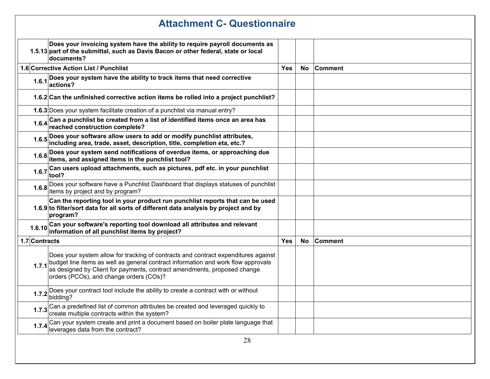|               | <b>Attachment C- Questionnaire</b>                                                                                                                                                                                                                                                                   |            |     |                |  |
|---------------|------------------------------------------------------------------------------------------------------------------------------------------------------------------------------------------------------------------------------------------------------------------------------------------------------|------------|-----|----------------|--|
|               | Does your invoicing system have the ability to require payroll documents as<br>1.5.13 part of the submittal, such as Davis Bacon or other federal, state or local<br>documents?                                                                                                                      |            |     |                |  |
|               | 1.6 Corrective Action List / Punchlist                                                                                                                                                                                                                                                               | <b>Yes</b> | No. | <b>Comment</b> |  |
|               | 1.6.1 Does your system have the ability to track items that need corrective<br>actions?                                                                                                                                                                                                              |            |     |                |  |
|               | 1.6.2 Can the unfinished corrective action items be rolled into a project punchlist?                                                                                                                                                                                                                 |            |     |                |  |
|               | 1.6.3 Does your system facilitate creation of a punchlist via manual entry?                                                                                                                                                                                                                          |            |     |                |  |
|               | 1.6.4 Can a punchlist be created from a list of identified items once an area has<br>reached construction complete?                                                                                                                                                                                  |            |     |                |  |
|               | 1.6.5 Does your software allow users to add or modify punchlist attributes,<br>including area, trade, asset, description, title, completion eta, etc.?                                                                                                                                               |            |     |                |  |
|               | 1.6.6 Does your system send notifications of overdue items, or approaching due<br>items, and assigned items in the punchlist tool?                                                                                                                                                                   |            |     |                |  |
|               | 1.6.7 Can users upload attachments, such as pictures, pdf etc. in your punchlist<br>tool?                                                                                                                                                                                                            |            |     |                |  |
|               | 1.6.8 Does your software have a Punchlist Dashboard that displays statuses of punchlist<br>items by project and by program?                                                                                                                                                                          |            |     |                |  |
|               | Can the reporting tool in your product run punchlist reports that can be used<br>1.6.9 to filter/sort data for all sorts of different data analysis by project and by<br>program?                                                                                                                    |            |     |                |  |
|               | 1.6.10 Can your software's reporting tool download all attributes and relevant<br>information of all punchlist items by project?                                                                                                                                                                     |            |     |                |  |
| 1.7 Contracts |                                                                                                                                                                                                                                                                                                      | <b>Yes</b> | No  | <b>Comment</b> |  |
|               | Does your system allow for tracking of contracts and contract expenditures against<br>1.7.1 budget line items as well as general contract information and work flow approvals<br>as designed by Client for payments, contract amendments, proposed change<br>orders (PCOs), and change orders (COs)? |            |     |                |  |
|               | Does your contract tool include the ability to create a contract with or without<br>$1.7.2$ bidding?                                                                                                                                                                                                 |            |     |                |  |
|               | 1.7.3 Can a predefined list of common attributes be created and leveraged quickly to<br>create multiple contracts within the system?                                                                                                                                                                 |            |     |                |  |
| 1.7.4         | Can your system create and print a document based on boiler plate language that<br>leverages data from the contract?                                                                                                                                                                                 |            |     |                |  |
|               | $\gamma$                                                                                                                                                                                                                                                                                             |            |     |                |  |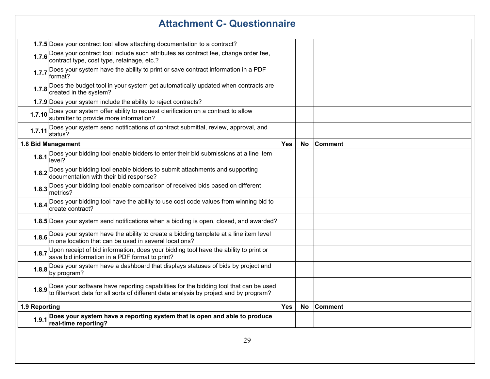# **Attachment C- Questionnaire 1.7.5** Does your contract tool allow attaching documentation to a contract? **1.7.6** Does your contract tool include such attributes as contract fee, change order fee, cost type, cost type, retainage, etc.? **1.7.7** Does your system have the ability to print or save contract information in a PDF format? **1.7.8** Does the budget tool in your system get automatically updated when contracts are created in the system? **1.7.9** Does your system include the ability to reject contracts? **1.7.10** Does your system offer ability to request clarification on a contract to allow submitter to provide more information? **1.7.11** Does your system send notifications of contract submittal, review, approval, and status? **1.8 Bid Management Yes No Comment 1.8.1** Does your bidding tool enable bidders to enter their bid submissions at a line item level? **1.8.2** Does your bidding tool enable bidders to submit attachments and supporting documentation with their bid response? **1.8.3** Does your bidding tool enable comparison of received bids based on different metrics? **1.8.4** Does your bidding tool have the ability to use cost code values from winning bid to create contract? **1.8.5** Does your system send notifications when a bidding is open, closed, and awarded? **1.8.6** Does your system have the ability to create a bidding template at a line item level in one location that can be used in several locations? **1.8.7** Upon receipt of bid information, does your bidding tool have the ability to print or save bid information in a PDF format to print? **1.8.8** Does your system have a dashboard that displays statuses of bids by project and by program? **1.8.9** Does your software have reporting capabilities for the bidding tool that can be used to filter/sort data for all sorts of different data analysis by project and by program? **1.9 Reporting Yes**  $\vert$  **No**  $\vert$  **Comment 1.9.1 Does your system have a reporting system that is open and able to produce** real-time reporting?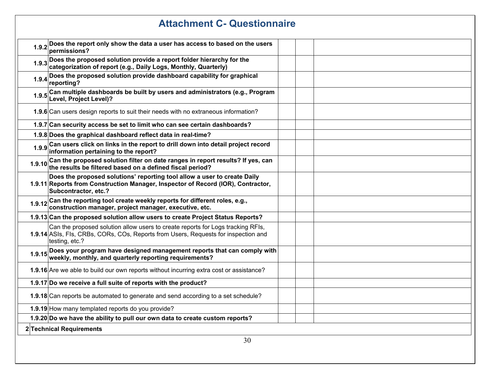| <b>Attachment C- Questionnaire</b> |                                                                                                                                                                                         |  |  |
|------------------------------------|-----------------------------------------------------------------------------------------------------------------------------------------------------------------------------------------|--|--|
|                                    | 1.9.2 Does the report only show the data a user has access to based on the users permissions?                                                                                           |  |  |
|                                    | 1.9.3 Does the proposed solution provide a report folder hierarchy for the categorization of report (e.g., Daily Logs, Monthly, Quarterly)                                              |  |  |
|                                    | 1.9.4 Does the proposed solution provide dashboard capability for graphical<br>reporting?                                                                                               |  |  |
|                                    | 1.9.5 Can multiple dashboards be built by users and administrators (e.g., Program<br>Level, Project Level)?                                                                             |  |  |
|                                    | 1.9.6 Can users design reports to suit their needs with no extraneous information?                                                                                                      |  |  |
|                                    | 1.9.7 Can security access be set to limit who can see certain dashboards?                                                                                                               |  |  |
|                                    | 1.9.8 Does the graphical dashboard reflect data in real-time?                                                                                                                           |  |  |
|                                    | 1.9.9 Can users click on links in the report to drill down into detail project record<br>information pertaining to the report?                                                          |  |  |
|                                    | 1.9.10 Can the proposed solution filter on date ranges in report results? If yes, can<br>1.9.10 the results be filtered based on a defined fiscal period?                               |  |  |
|                                    | Does the proposed solutions' reporting tool allow a user to create Daily<br>1.9.11 Reports from Construction Manager, Inspector of Record (IOR), Contractor,<br>Subcontractor, etc.?    |  |  |
| 1.9.12                             | Can the reporting tool create weekly reports for different roles, e.g.,<br>construction manager, project manager, executive, etc.                                                       |  |  |
|                                    | 1.9.13 Can the proposed solution allow users to create Project Status Reports?                                                                                                          |  |  |
|                                    | Can the proposed solution allow users to create reports for Logs tracking RFIs,<br>1.9.14 ASIs, FIs, CRBs, CORs, COs, Reports from Users, Requests for inspection and<br>testing, etc.? |  |  |
|                                    | 1.9.15 Does your program have designed management reports that can comply with<br>weekly, monthly, and quarterly reporting requirements?                                                |  |  |
|                                    | 1.9.16 Are we able to build our own reports without incurring extra cost or assistance?                                                                                                 |  |  |
|                                    | 1.9.17 Do we receive a full suite of reports with the product?                                                                                                                          |  |  |
|                                    | 1.9.18 Can reports be automated to generate and send according to a set schedule?                                                                                                       |  |  |
|                                    | 1.9.19 How many templated reports do you provide?                                                                                                                                       |  |  |
|                                    | 1.9.20 Do we have the ability to pull our own data to create custom reports?                                                                                                            |  |  |
| 2 Technical Requirements           |                                                                                                                                                                                         |  |  |
| 30                                 |                                                                                                                                                                                         |  |  |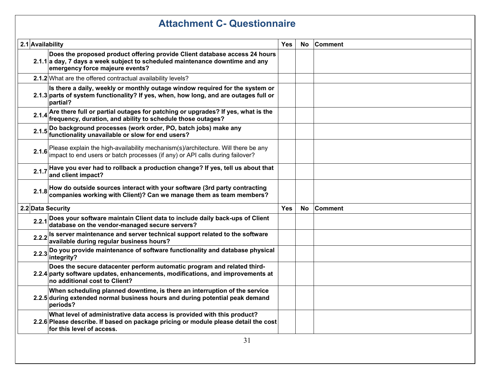# **Attachment C- Questionnaire**

| 2.1 Availability |                                                                                                                                                                                               | Yes | <b>No</b> | <b>Comment</b> |  |
|------------------|-----------------------------------------------------------------------------------------------------------------------------------------------------------------------------------------------|-----|-----------|----------------|--|
|                  | Does the proposed product offering provide Client database access 24 hours<br>2.1.1 a day, 7 days a week subject to scheduled maintenance downtime and any<br>emergency force majeure events? |     |           |                |  |
|                  | 2.1.2 What are the offered contractual availability levels?                                                                                                                                   |     |           |                |  |
|                  | Is there a daily, weekly or monthly outage window required for the system or<br>2.1.3 parts of system functionality? If yes, when, how long, and are outages full or<br>partial?              |     |           |                |  |
|                  | 2.1.4 Are there full or partial outages for patching or upgrades? If yes, what is the<br>frequency, duration, and ability to schedule those outages?                                          |     |           |                |  |
|                  | 2.1.5 Do background processes (work order, PO, batch jobs) make any<br>functionality unavailable or slow for end users?                                                                       |     |           |                |  |
| 2.1.6            | Please explain the high-availability mechanism(s)/architecture. Will there be any<br>impact to end users or batch processes (if any) or API calls during failover?                            |     |           |                |  |
| 2.1.7            | Have you ever had to rollback a production change? If yes, tell us about that<br>and client impact?                                                                                           |     |           |                |  |
| 2.1.8            | How do outside sources interact with your software (3rd party contracting<br>companies working with Client)? Can we manage them as team members?                                              |     |           |                |  |
|                  | 2.2 Data Security                                                                                                                                                                             |     | <b>No</b> | <b>Comment</b> |  |
|                  | 2.2.1 Does your software maintain Client data to include daily back-ups of Client<br>database on the vendor-managed secure servers?                                                           |     |           |                |  |
|                  | 2.2.2 Is server maintenance and server technical support related to the software<br>available during regular business hours?                                                                  |     |           |                |  |
|                  | 2.2.3 Do you provide maintenance of software functionality and database physical<br>integrity?                                                                                                |     |           |                |  |
|                  | Does the secure datacenter perform automatic program and related third-<br>2.2.4 party software updates, enhancements, modifications, and improvements at<br>no additional cost to Client?    |     |           |                |  |
|                  | When scheduling planned downtime, is there an interruption of the service<br>2.2.5 during extended normal business hours and during potential peak demand<br>periods?                         |     |           |                |  |
|                  | What level of administrative data access is provided with this product?<br>2.2.6 Please describe. If based on package pricing or module please detail the cost<br>for this level of access.   |     |           |                |  |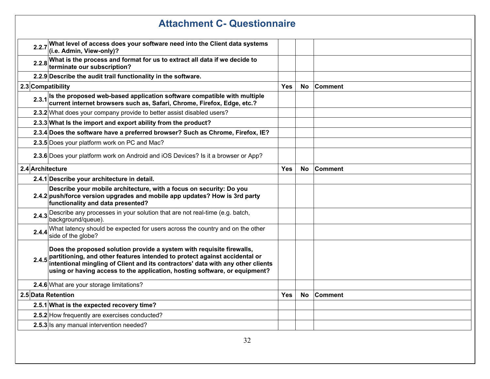| <b>Attachment C- Questionnaire</b> |                                                                                                                                                                                                                                                                                                                            |            |           |                |
|------------------------------------|----------------------------------------------------------------------------------------------------------------------------------------------------------------------------------------------------------------------------------------------------------------------------------------------------------------------------|------------|-----------|----------------|
|                                    | 2.2.7 What level of access does your software need into the Client data systems<br>(i.e. Admin, View-only)?                                                                                                                                                                                                                |            |           |                |
|                                    | 2.2.8 What is the process and format for us to extract all data if we decide to the terminate our subscription?                                                                                                                                                                                                            |            |           |                |
|                                    | 2.2.9 Describe the audit trail functionality in the software.                                                                                                                                                                                                                                                              |            |           |                |
| 2.3 Compatibility                  |                                                                                                                                                                                                                                                                                                                            | <b>Yes</b> | <b>No</b> | <b>Comment</b> |
|                                    | 2.3.1 Is the proposed web-based application software compatible with multiple<br>current internet browsers such as, Safari, Chrome, Firefox, Edge, etc.?                                                                                                                                                                   |            |           |                |
|                                    | 2.3.2 What does your company provide to better assist disabled users?                                                                                                                                                                                                                                                      |            |           |                |
|                                    | 2.3.3 What Is the import and export ability from the product?                                                                                                                                                                                                                                                              |            |           |                |
|                                    | 2.3.4 Does the software have a preferred browser? Such as Chrome, Firefox, IE?                                                                                                                                                                                                                                             |            |           |                |
|                                    | 2.3.5 Does your platform work on PC and Mac?                                                                                                                                                                                                                                                                               |            |           |                |
|                                    | 2.3.6 Does your platform work on Android and iOS Devices? Is it a browser or App?                                                                                                                                                                                                                                          |            |           |                |
| 2.4 Architecture                   |                                                                                                                                                                                                                                                                                                                            | Yes        | <b>No</b> | <b>Comment</b> |
|                                    | 2.4.1 Describe your architecture in detail.                                                                                                                                                                                                                                                                                |            |           |                |
|                                    | Describe your mobile architecture, with a focus on security: Do you<br>2.4.2 push/force version upgrades and mobile app updates? How is 3rd party<br>functionality and data presented?                                                                                                                                     |            |           |                |
|                                    | 2.4.3 Describe any processes in your solution that are not real-time (e.g. batch,<br>background/queue).                                                                                                                                                                                                                    |            |           |                |
| 2.4.4                              | What latency should be expected for users across the country and on the other<br>side of the globe?                                                                                                                                                                                                                        |            |           |                |
|                                    | Does the proposed solution provide a system with requisite firewalls,<br>2.4.5 partitioning, and other features intended to protect against accidental or<br>intentional mingling of Client and its contractors' data with any other clients<br>using or having access to the application, hosting software, or equipment? |            |           |                |
|                                    | 2.4.6 What are your storage limitations?                                                                                                                                                                                                                                                                                   |            |           |                |
| 2.5 Data Retention                 |                                                                                                                                                                                                                                                                                                                            | <b>Yes</b> | No.       | <b>Comment</b> |
|                                    | 2.5.1 What is the expected recovery time?                                                                                                                                                                                                                                                                                  |            |           |                |
|                                    | 2.5.2 How frequently are exercises conducted?                                                                                                                                                                                                                                                                              |            |           |                |
|                                    | 2.5.3 Is any manual intervention needed?                                                                                                                                                                                                                                                                                   |            |           |                |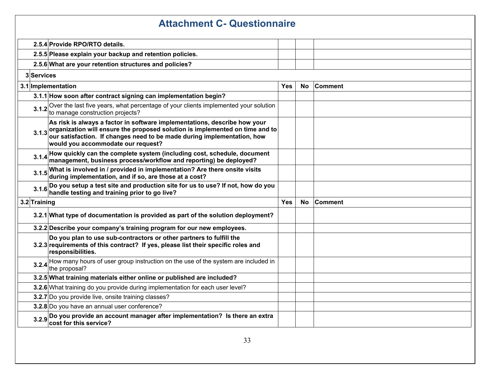| <b>Attachment C- Questionnaire</b> |                                                                                                                                                                                                                                                                            |            |           |                |
|------------------------------------|----------------------------------------------------------------------------------------------------------------------------------------------------------------------------------------------------------------------------------------------------------------------------|------------|-----------|----------------|
|                                    | 2.5.4 Provide RPO/RTO details.                                                                                                                                                                                                                                             |            |           |                |
|                                    | 2.5.5 Please explain your backup and retention policies.                                                                                                                                                                                                                   |            |           |                |
|                                    | 2.5.6 What are your retention structures and policies?                                                                                                                                                                                                                     |            |           |                |
| 3Services                          |                                                                                                                                                                                                                                                                            |            |           |                |
|                                    | 3.1 Implementation                                                                                                                                                                                                                                                         | <b>Yes</b> | No.       | <b>Comment</b> |
|                                    | 3.1.1 How soon after contract signing can implementation begin?                                                                                                                                                                                                            |            |           |                |
|                                    | 3.1.2 Over the last five years, what percentage of your clients implemented your solution<br>to manage construction projects?                                                                                                                                              |            |           |                |
| 3.1.3                              | As risk is always a factor in software implementations, describe how your<br>organization will ensure the proposed solution is implemented on time and to<br>our satisfaction. If changes need to be made during implementation, how<br>would you accommodate our request? |            |           |                |
| 3.1.4                              | How quickly can the complete system (including cost, schedule, document<br>management, business process/workflow and reporting) be deployed?                                                                                                                               |            |           |                |
|                                    | 3.1.5 What is involved in / provided in implementation? Are there onsite visits during implementation, and if so, are those at a cost?                                                                                                                                     |            |           |                |
|                                    | 3.1.6 Do you setup a test site and production site for us to use? If not, how do you<br>handle testing and training prior to go live?                                                                                                                                      |            |           |                |
| 3.2 Training                       |                                                                                                                                                                                                                                                                            | Yes        | <b>No</b> | Comment        |
|                                    | 3.2.1 What type of documentation is provided as part of the solution deployment?                                                                                                                                                                                           |            |           |                |
|                                    | 3.2.2 Describe your company's training program for our new employees.                                                                                                                                                                                                      |            |           |                |
|                                    | Do you plan to use sub-contractors or other partners to fulfill the<br>3.2.3 requirements of this contract? If yes, please list their specific roles and<br>responsibilities.                                                                                              |            |           |                |
|                                    | 3.2.4 How many hours of user group instruction on the use of the system are included in<br>the proposal?                                                                                                                                                                   |            |           |                |
|                                    | 3.2.5 What training materials either online or published are included?                                                                                                                                                                                                     |            |           |                |
|                                    | 3.2.6 What training do you provide during implementation for each user level?                                                                                                                                                                                              |            |           |                |
|                                    | 3.2.7 Do you provide live, onsite training classes?                                                                                                                                                                                                                        |            |           |                |
|                                    | 3.2.8 Do you have an annual user conference?                                                                                                                                                                                                                               |            |           |                |
|                                    | 3.2.9 Do you provide an account manager after implementation? Is there an extra<br>cost for this service?                                                                                                                                                                  |            |           |                |